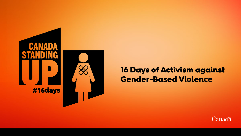

## 16 Days of Activism against **Gender-Based Violence**

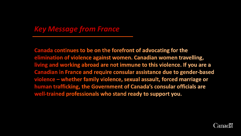#### *Key Message from France*

Canada continues to be on the forefront of advocating for the elimination of violence against women. Canadian women travelling, living and working abroad are not immune to this violence. If you are a Canadian in France and require consular assistance due to gender-based violence – whether family violence, sexual assault, forced marriage or human trafficking, the Government of Canada's consular officials are well-trained professionals who stand ready to support you.

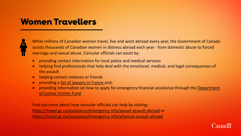# **Women Travellers**



While millions of Canadian women travel, live and work abroad every year, the Government of Canada assists thousands of Canadian women in distress abroad each year - from domestic abuse to forced marriage and sexual abuse. Consular officials can assist by:

- providing contact information for local police and medical services
- helping find professionals that help deal with the emotional, medical, and legal consequences of the assault
- helping contact relatives or friends
- providing a [list of lawyers in France](https://www.canadainternational.gc.ca/france/consular_services_consulaires/legal-juridique.aspx?lang=eng) and;
- [providing information on how to apply for emergency financial assistance through the Department](https://www.justice.gc.ca/eng/fund-fina/cj-jp/fund-fond/abroad-etranger.html) of Justice Victims Fund

Find out more about how consular officials can help by visiting: <https://travel.gc.ca/assistance/emergency-info/sexual-assault-abroad> or <https://travel.gc.ca/assistance/emergency-info/physical-assault-abroad>

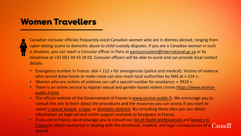# **Women Travellers**



Canadian consular officials frequently assist Canadian women who are in distress abroad, ranging from cyber-dating scams to domestic abuse to child custody disputes. If you are a Canadian woman in such a situation, you can reach a Consular officer in Paris at [parisconsulaire@international.gc.ca](mailto:parisconsulaire@international.gc.ca) or by telephone at +33 (0)1 44 43 29 02. Consular officers will be able to assist and can provide local contact details:

- Emergency number in France: dial « 112 » for emergencies (police and medical). Victims of violence who cannot leave home or make noise can also reach local authorities by SMS at « 114 ».
- Women who are victims of violence can call a special number for assistance: « 3919 ».
- There is [an online service to register](https://www.service-public.fr/cmi) sexual and gender-based violent crimes https://www.servicepublic.fr/cmi.
- The official website of the Governement of France is [www.service-public.fr.](http://www.service-public.fr/) We encourage you to consult this site to learn about the procedures and the resources you can access if you want to report [a sexual](https://www.service-public.fr/particuliers/vosdroits/F33891) assault, [a rape,](https://www.service-public.fr/particuliers/vosdroits/F1526) or [domestic](https://www.service-public.fr/particuliers/vosdroits/F12544) violence. By consulting these sites you can obtain information on legal aid and victim support available to foreigners in France.
- If you are in France, we encourage you to consult our list of health [professionals](https://www.canadainternational.gc.ca/france/consular_services_consulaires/medical.aspx?lang=eng) and lawyers in **France, to obtain assistance in dealing [with the emotional, medical, and legal consequences of a](https://www.canadainternational.gc.ca/france/consular_services_consulaires/legal-juridique.aspx?lang=eng)r Canada** assault.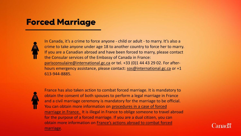## **Forced Marriage**



In Canada, it's a crime to force anyone - child or adult - to marry. It's also a crime to take anyone under age 18 to another country to force her to marry. If you are a Canadian abroad and have been forced to marry, please contact the Consular services of the Embassy of Canada in France: [parisconsulaire@international.gc.ca](mailto:parisconsulaire@international.gc.ca) or tel. +33 (0)1 44 43 29 02. For afterhours emergency assistance, please contact: [sos@international.gc.ca](mailto:sos@international.gc.ca) or +1 613-944-8885.



France has also taken action to combat forced marriage. It is mandatory to obtain the consent of both spouses to perform a legal marriage in France and a civil marriage ceremony is mandatory for the marriage to be official. [You can obtain more information on procedures in a case of forced](https://arretonslesviolences.gouv.fr/besoin-d-aide/mariage-force)  marriage in France. It is illegal in France to oblige someone to travel abroad for the purpose of a forced marriage. If you are a dual citizen, you can [obtain more information on France's actions abroad to combat forced](https://www.diplomatie.gouv.fr/fr/conseils-aux-voyageurs/informations-pratiques/assistance-aux-francais/mariages-forces/) marriage.

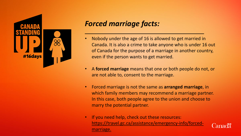

### *Forced marriage facts:*

- Nobody under the age of 16 is allowed to get married in Canada. It is also a crime to take anyone who is under 16 out of Canada for the purpose of a marriage in another country, even if the person wants to get married.
- A **forced marriage** means that one or both people do not, or are not able to, consent to the marriage.
- Forced marriage is not the same as **arranged marriage**, in which family members may recommend a marriage partner. In this case, both people agree to the union and choose to marry the potential partner.
- If you need help, check out these resources: [https://travel.gc.ca/assistance/emergency-info/forced](https://travel.gc.ca/assistance/emergency-info/forced-marriage)marriage.

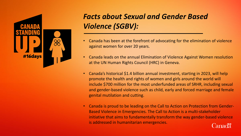

# *Facts about Sexual and Gender Based Violence (SGBV):*

- Canada has been at the forefront of advocating for the elimination of violence against women for over 20 years.
- Canada leads on the annual Elimination of Violence Against Women resolution at the UN Human Rights Council (HRC) in Geneva.
- Canada's historical \$1.4 billion annual investment, starting in 2023, will help promote the health and rights of women and girls around the world will include \$700 million for the most underfunded areas of SRHR, including sexual and gender-based violence such as child, early and forced marriage and female genital mutilation and cutting.
- Canada is proud to be leading on the Call to Action on Protection from Gender-Based Violence in Emergencies. The Call to Action is a multi-stakeholder initiative that aims to fundamentally transform the way gender-based violence is addressed in humanitarian emergencies.Canadä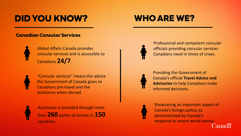# **DID YOU KNOW?**

# **WHO ARE WE?**

#### **Canadian Consular Services**



Global Affairs Canada provides consular services and is accessible to Canadians **24/7**.



"Consular services" means the advice the Government of Canada gives to Canadians pre-travel and the assistance when abroad.



Assistance is provided through more than **260** points of service in **150** countries.



Professional and competent consular officials providing consular services Canadians need in times of crises.



Providing the Government of Canada's official **Travel Advice and Advisories** to help Canadians make informed decisions.



Showcasing an important aspect of Canada's foreign policy, as demonstrated by Canada's response to recent world events.<br>Canadä